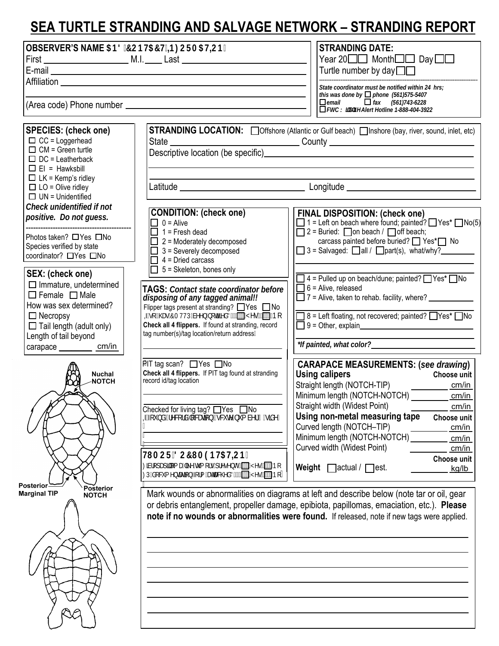## **SEA TURTLE STRANDING AND SALVAGE NETWORK – STRANDING REPORT**

| OBSERVER'S NAME 5B8 7CBH57H B: CFA5HCB.                                                                                                                                                                                                                                                                                                                                |                                                                                                                                                                                                                                                                                                                           | <b>STRANDING DATE:</b><br>Year 20□□ Month□□ Day□□<br>Turtle number by day $\square \square$<br>State coordinator must be notified within 24 hrs;<br>this was done by $\Box$ phone (561)575-5407<br>$\Box$ email $\Box$ fax (561)743-6228<br>$\overline{\Box}$ FWC K JX JZY Alert Hotline 1-888-404-3922                        |
|------------------------------------------------------------------------------------------------------------------------------------------------------------------------------------------------------------------------------------------------------------------------------------------------------------------------------------------------------------------------|---------------------------------------------------------------------------------------------------------------------------------------------------------------------------------------------------------------------------------------------------------------------------------------------------------------------------|--------------------------------------------------------------------------------------------------------------------------------------------------------------------------------------------------------------------------------------------------------------------------------------------------------------------------------|
| <b>SPECIES: (check one)</b><br>$\Box$ CC = Loggerhead<br>$\Box$ CM = Green turtle<br>$\Box$ DC = Leatherback<br>$\Box$ EI = Hawksbill<br>$\Box$ LK = Kemp's ridley<br>$\Box$ LO = Olive ridley<br>$\Box$ UN = Unidentified<br>Check unidentified if not<br>positive. Do not guess.<br>Photos taken? □ Yes □ No<br>Species verified by state<br>coordinator? □ Yes □ No |                                                                                                                                                                                                                                                                                                                           | STRANDING LOCATION: Offshore (Atlantic or Gulf beach) Inshore (bay, river, sound, inlet, etc)<br>Latitude example and the condition of the condition of the condition of the condition of the condition of the condition of the condition of the condition of the condition of the condition of the condition of the condition |
|                                                                                                                                                                                                                                                                                                                                                                        | <b>CONDITION:</b> (check one)<br>$\Box$ 0 = Alive<br>$\Box$ 1 = Fresh dead<br>$\Box$ 2 = Moderately decomposed<br>3 = Severely decomposed<br>$4 =$ Dried carcass                                                                                                                                                          | <b>FINAL DISPOSITION: (check one)</b><br>$\Box$ 1 = Left on beach where found; painted? $\Box$ Yes* $\Box$ No(5)<br>$\Box$ 2 = Buried: $\Box$ on beach / $\Box$ off beach;<br>carcass painted before buried? ■ Yes*■ No<br>$\Box$ 3 = Salvaged: $\Box$ all / $\Box$ part(s), what/why?                                         |
| SEX: (check one)<br>$\Box$ Immature, undetermined<br>$\Box$ Female $\Box$ Male<br>How was sex determined?<br>$\Box$ Necropsy<br>$\Box$ Tail length (adult only)<br>Length of tail beyond<br>carapace __________ cm/in                                                                                                                                                  | $\Box$ 5 = Skeleton, bones only<br><b>TAGS: Contact state coordinator before</b><br>disposing of any tagged animal!!<br>Flipper tags present at stranding? $\Box$ Yes $\Box$ No<br>Zgcž\Ug'7AHHDVYYblochZYX3 TMYg TBC<br>Check all 4 flippers. If found at stranding, record<br>tag number(s)/tag location/return address | $\Box$ 4 = Pulled up on beach/dune; painted? $\Box$ Yes* $\Box$ No<br>$\Box$ 6 = Alive, released<br>$\Box$ 7 = Alive, taken to rehab. facility, where? $\Box$<br>□ 8 = Left floating, not recovered; painted? □ Yes* □ No                                                                                                      |
| <b>Nuchal</b><br><b>NOTCH</b><br>Posterior<br><b>Posterior</b><br><b>Marginal TIP</b>                                                                                                                                                                                                                                                                                  | PIT tag scan? $\Box$ Yes $\Box$ No<br>Check all 4 flippers. If PIT tag found at stranding<br>record id/tag location<br>Checked for living tag? □ Yes □ No<br>ZZci bXžfYVotfX`čWujcbTojWIY bi a VYf⁄g]XYŁ                                                                                                                  | <b>CARAPACE MEASUREMENTS: (see drawing)</b><br><b>Using calipers</b><br>Choose unit<br>cm/in<br>Minimum length (NOTCH-NOTCH)<br>cm/in<br>Straight width (Widest Point)<br>cm/in<br>Using non-metal measuring tape<br><b>Choose unit</b><br>Curved length (NOTCH-TIP)<br>cm/in                                                  |
|                                                                                                                                                                                                                                                                                                                                                                        | H ACF 8C7I A9BI-5HCB.<br>MicdUdj`ca U`LY hi a cfg dfYgYbf8 [1] MYg [1] Bc<br>D'XcWa Ybhujcb Zcfa Uttuwyx3 [T] Myg [T] Bc                                                                                                                                                                                                  | Minimum length (NOTCH-NOTCH)<br>cm/in<br>Curved width (Widest Point)<br>cm/in<br>Choose unit<br>Weight $\Box$ actual / $\Box$ est.<br>kg/lb                                                                                                                                                                                    |
| <b>NOTCH</b>                                                                                                                                                                                                                                                                                                                                                           |                                                                                                                                                                                                                                                                                                                           | Mark wounds or abnormalities on diagrams at left and describe below (note tar or oil, gear<br>or debris entanglement, propeller damage, epibiota, papillomas, emaciation, etc.). Please<br>note if no wounds or abnormalities were found. If released, note if new tags were applied.                                          |
|                                                                                                                                                                                                                                                                                                                                                                        |                                                                                                                                                                                                                                                                                                                           |                                                                                                                                                                                                                                                                                                                                |